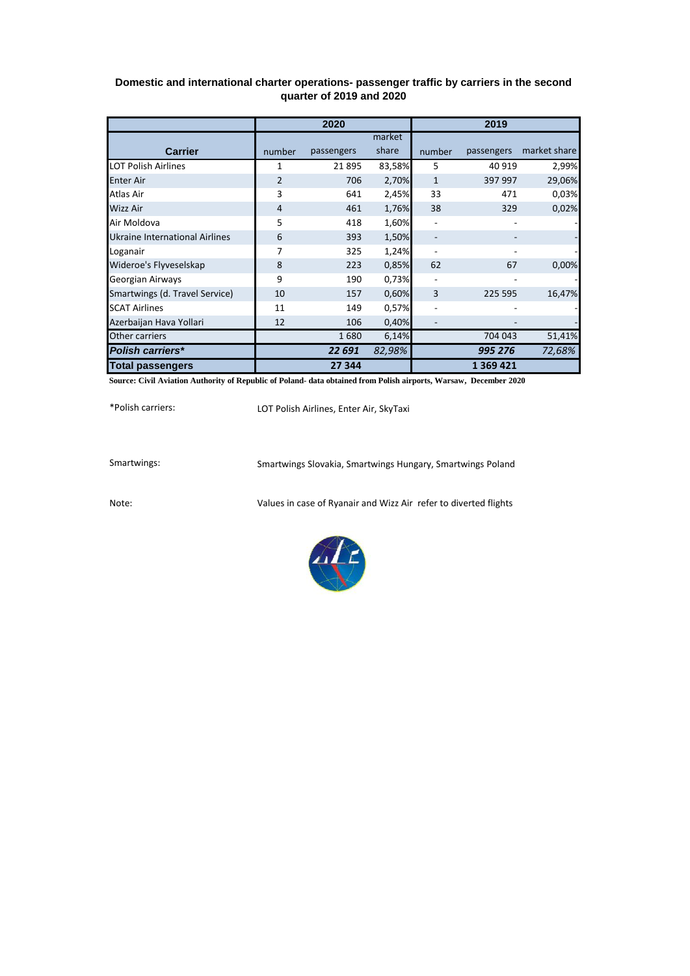## **Domestic and international charter operations- passenger traffic by carriers in the second quarter of 2019 and 2020**

|                                       | 2020           |            |        | 2019   |            |              |
|---------------------------------------|----------------|------------|--------|--------|------------|--------------|
|                                       |                |            | market |        |            |              |
| <b>Carrier</b>                        | number         | passengers | share  | number | passengers | market share |
| <b>LOT Polish Airlines</b>            | 1              | 21895      | 83,58% | 5      | 40 919     | 2,99%        |
| <b>Enter Air</b>                      | $\overline{2}$ | 706        | 2,70%  | 1      | 397 997    | 29,06%       |
| Atlas Air                             | 3              | 641        | 2,45%  | 33     | 471        | 0,03%        |
| Wizz Air                              | $\overline{4}$ | 461        | 1,76%  | 38     | 329        | 0,02%        |
| Air Moldova                           | 5              | 418        | 1,60%  |        |            |              |
| <b>Ukraine International Airlines</b> | 6              | 393        | 1,50%  |        |            |              |
| Loganair                              | 7              | 325        | 1,24%  |        |            |              |
| Wideroe's Flyveselskap                | 8              | 223        | 0,85%  | 62     | 67         | 0,00%        |
| Georgian Airways                      | 9              | 190        | 0,73%  |        |            |              |
| Smartwings (d. Travel Service)        | 10             | 157        | 0,60%  | 3      | 225 595    | 16,47%       |
| <b>SCAT Airlines</b>                  | 11             | 149        | 0,57%  |        |            |              |
| Azerbaijan Hava Yollari               | 12             | 106        | 0,40%  |        |            |              |
| Other carriers                        |                | 1680       | 6,14%  |        | 704 043    | 51,41%       |
| <b>Polish carriers*</b>               |                | 22 691     | 82,98% |        | 995 276    | 72,68%       |
| <b>Total passengers</b>               |                | 27 344     |        |        | 1 369 421  |              |

**Source: Civil Aviation Authority of Republic of Poland- data obtained from Polish airports, Warsaw, December 2020**

\*Polish carriers:

LOT Polish Airlines, Enter Air, SkyTaxi

Smartwings: Smartwings Slovakia, Smartwings Hungary, Smartwings Poland

Note: Values in case of Ryanair and Wizz Air refer to diverted flights